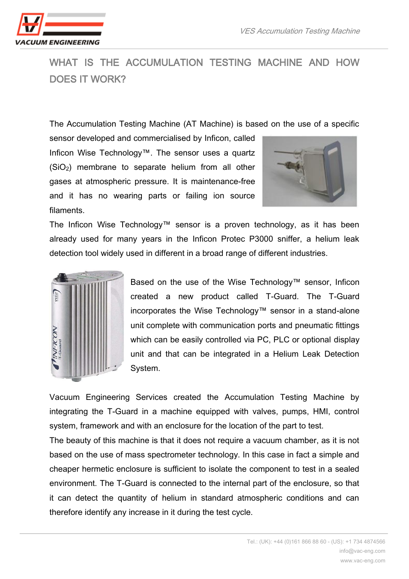

## WHAT IS THE ACCUMULATION TESTING MACHINE AND HOW DOES IT WORK?

The Accumulation Testing Machine (AT Machine) is based on the use of a specific

sensor developed and commercialised by Inficon, called Inficon Wise Technology™. The sensor uses a quartz (SiO2) membrane to separate helium from all other gases at atmospheric pressure. It is maintenance-free and it has no wearing parts or failing ion source filaments.



The Inficon Wise Technology™ sensor is a proven technology, as it has been already used for many years in the Inficon Protec P3000 sniffer, a helium leak detection tool widely used in different in a broad range of different industries.



Based on the use of the Wise Technology™ sensor, Inficon created a new product called T-Guard. The T-Guard incorporates the Wise Technology™ sensor in a stand-alone unit complete with communication ports and pneumatic fittings which can be easily controlled via PC, PLC or optional display unit and that can be integrated in a Helium Leak Detection System.

Vacuum Engineering Services created the Accumulation Testing Machine by integrating the T-Guard in a machine equipped with valves, pumps, HMI, control system, framework and with an enclosure for the location of the part to test.

The beauty of this machine is that it does not require a vacuum chamber, as it is not based on the use of mass spectrometer technology. In this case in fact a simple and cheaper hermetic enclosure is sufficient to isolate the component to test in a sealed environment. The T-Guard is connected to the internal part of the enclosure, so that it can detect the quantity of helium in standard atmospheric conditions and can therefore identify any increase in it during the test cycle.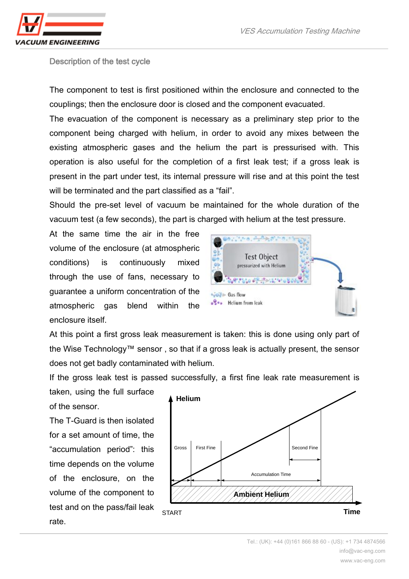Description of the test cycle

The component to test is first positioned within the enclosure and connected to the couplings; then the enclosure door is closed and the component evacuated.

The evacuation of the component is necessary as a preliminary step prior to the component being charged with helium, in order to avoid any mixes between the existing atmospheric gases and the helium the part is pressurised with. This operation is also useful for the completion of a first leak test; if a gross leak is present in the part under test, its internal pressure will rise and at this point the test will be terminated and the part classified as a "fail".

Should the pre-set level of vacuum be maintained for the whole duration of the vacuum test (a few seconds), the part is charged with helium at the test pressure.

At the same time the air in the free volume of the enclosure (at atmospheric conditions) is continuously mixed through the use of fans, necessary to guarantee a uniform concentration of the atmospheric gas blend within the enclosure itself.



At this point a first gross leak measurement is taken: this is done using only part of the Wise Technology™ sensor , so that if a gross leak is actually present, the sensor does not get badly contaminated with helium.

If the gross leak test is passed successfully, a first fine leak rate measurement is

taken, using the full surface of the sensor.

The T-Guard is then isolated for a set amount of time, the "accumulation period": this time depends on the volume of the enclosure, on the volume of the component to test and on the pass/fail leak rate.